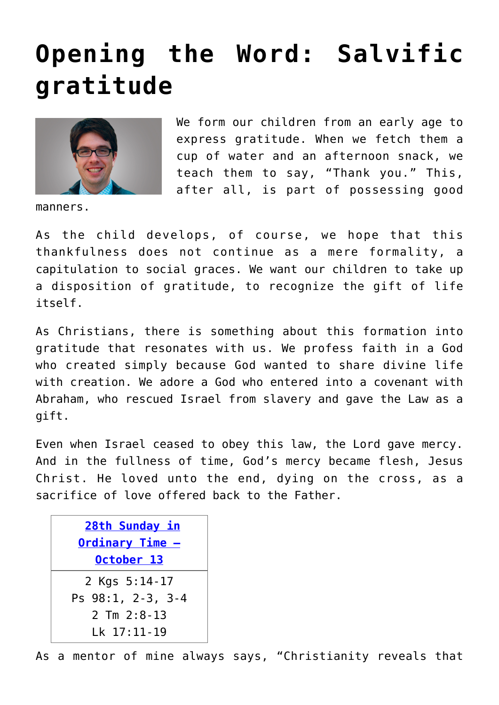## **[Opening the Word: Salvific](https://www.osvnews.com/2019/10/07/opening-the-word-salvific-gratitude/) [gratitude](https://www.osvnews.com/2019/10/07/opening-the-word-salvific-gratitude/)**



We form our children from an early age to express gratitude. When we fetch them a cup of water and an afternoon snack, we teach them to say, "Thank you." This, after all, is part of possessing good

manners.

As the child develops, of course, we hope that this thankfulness does not continue as a mere formality, a capitulation to social graces. We want our children to take up a disposition of gratitude, to recognize the gift of life itself.

As Christians, there is something about this formation into gratitude that resonates with us. We profess faith in a God who created simply because God wanted to share divine life with creation. We adore a God who entered into a covenant with Abraham, who rescued Israel from slavery and gave the Law as a gift.

Even when Israel ceased to obey this law, the Lord gave mercy. And in the fullness of time, God's mercy became flesh, Jesus Christ. He loved unto the end, dying on the cross, as a sacrifice of love offered back to the Father.

| 28th Sunday in<br><u> Ordinary Time -</u> |
|-------------------------------------------|
| October 13                                |
| 2 Kgs 5:14-17                             |
| Ps 98:1, 2-3, 3-4                         |
| $2$ Tm $2:8-13$                           |
| Lk 17:11-19                               |

As a mentor of mine always says, "Christianity reveals that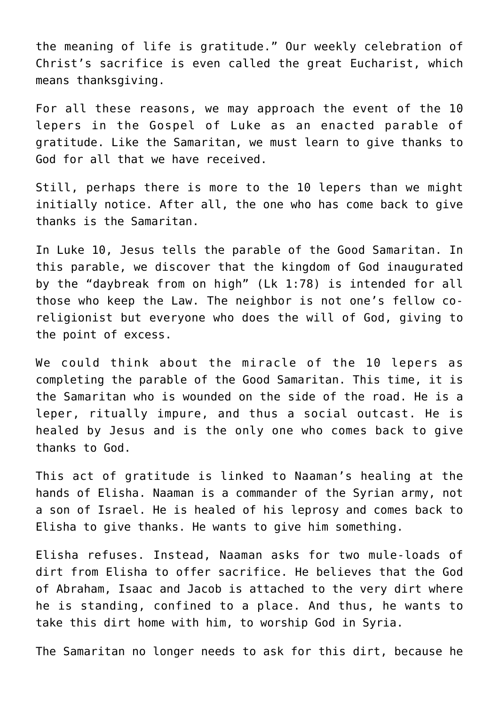the meaning of life is gratitude." Our weekly celebration of Christ's sacrifice is even called the great Eucharist, which means thanksgiving.

For all these reasons, we may approach the event of the 10 lepers in the Gospel of Luke as an enacted parable of gratitude. Like the Samaritan, we must learn to give thanks to God for all that we have received.

Still, perhaps there is more to the 10 lepers than we might initially notice. After all, the one who has come back to give thanks is the Samaritan.

In Luke 10, Jesus tells the parable of the Good Samaritan. In this parable, we discover that the kingdom of God inaugurated by the "daybreak from on high" (Lk 1:78) is intended for all those who keep the Law. The neighbor is not one's fellow coreligionist but everyone who does the will of God, giving to the point of excess.

We could think about the miracle of the 10 lepers as completing the parable of the Good Samaritan. This time, it is the Samaritan who is wounded on the side of the road. He is a leper, ritually impure, and thus a social outcast. He is healed by Jesus and is the only one who comes back to give thanks to God.

This act of gratitude is linked to Naaman's healing at the hands of Elisha. Naaman is a commander of the Syrian army, not a son of Israel. He is healed of his leprosy and comes back to Elisha to give thanks. He wants to give him something.

Elisha refuses. Instead, Naaman asks for two mule-loads of dirt from Elisha to offer sacrifice. He believes that the God of Abraham, Isaac and Jacob is attached to the very dirt where he is standing, confined to a place. And thus, he wants to take this dirt home with him, to worship God in Syria.

The Samaritan no longer needs to ask for this dirt, because he